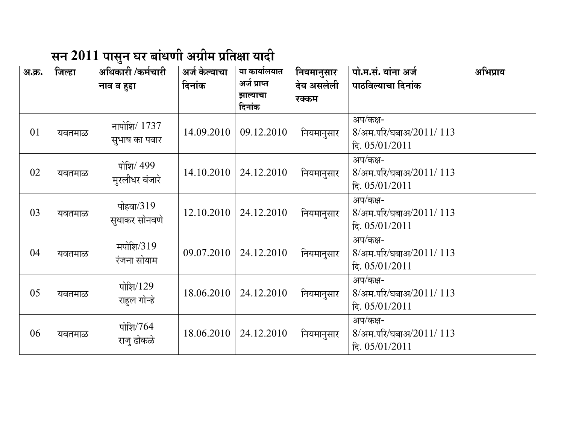## सन 2011 पासुन घर बांधणी अग्रीम प्रतिक्षा यादी

| अ.क्र. | जिल्हा | अधिकारी /कर्मचारी | अर्ज केल्याचा | या कार्यालयात      | नियमानुसार | पो.म.सं. यांना अर्ज    | अभिप्राय |
|--------|--------|-------------------|---------------|--------------------|------------|------------------------|----------|
|        |        | नाव व हुद्दा      | दिनांक        | अर्ज प्राप्त       | देय असलेली | पाठविल्याचा दिनांक     |          |
|        |        |                   |               | झाल्याचा<br>दिनांक | रक्कम      |                        |          |
|        |        |                   |               |                    |            |                        |          |
|        |        | नापोशि/ 1737      |               |                    |            | अप/कक्ष-               |          |
| 01     | यवतमाळ | सुभाष का पवार     | 14.09.2010    | 09.12.2010         | नियमानुसार | 8/अम.परि/घबाअ/2011/113 |          |
|        |        |                   |               |                    |            | हि. 05/01/2011         |          |
|        |        | पोशि/ 499         |               |                    |            | अप/कक्ष-               |          |
| 02     | यवतमाळ | मुरलीधर वंजारे    | 14.10.2010    | 24.12.2010         | नियमानुसार | 8/अम.परि/घबाअ/2011/113 |          |
|        |        |                   |               |                    |            | हि. 05/01/2011         |          |
|        |        |                   |               |                    |            | अप/कक्ष-               |          |
| 03     | यवतमाळ | पोहवा/319         | 12.10.2010    | 24.12.2010         | नियमानुसार | 8/अम.परि/घबाअ/2011/113 |          |
|        |        | सुधाकर सोनवणे     |               |                    |            | हि. 05/01/2011         |          |
|        |        |                   |               |                    |            | अप/कक्ष-               |          |
| 04     | यवतमाळ | मपोशि/319         | 09.07.2010    | 24.12.2010         | नियमानुसार | 8/अम.परि/घबाअ/2011/113 |          |
|        |        | रंजना सोयाम       |               |                    |            | हि. 05/01/2011         |          |
|        |        |                   |               |                    |            | अप/कक्ष-               |          |
| 05     | यवतमाळ | पोशि $/129$       | 18.06.2010    | 24.12.2010         | नियमानुसार | 8/अम.परि/घबाअ/2011/113 |          |
|        |        | राहुल गोऱ्हे      |               |                    |            | हि. 05/01/2011         |          |
|        |        |                   |               |                    |            | अप/कक्ष-               |          |
| 06     |        | पोशि/764          | 18.06.2010    | 24.12.2010         | नियमानुसार | 8/अम.परि/घबाअ/2011/113 |          |
|        | यवतमाळ | राज् ढोकळे        |               |                    |            |                        |          |
|        |        |                   |               |                    |            | हि. 05/01/2011         |          |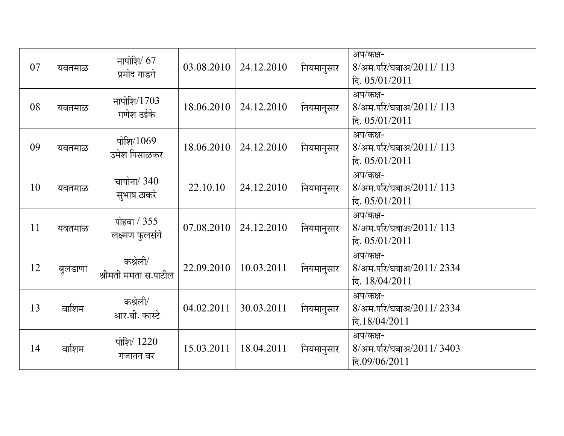| 07 | यवतमाळ  | नापोशि $/ 67$<br>प्रमोद गाडगे    | 03.08.2010 | 24.12.2010 | नियमानुसार | अप/कक्ष-<br>8/अम.परि/घबाअ/2011/113<br>हि. 05/01/2011  |  |
|----|---------|----------------------------------|------------|------------|------------|-------------------------------------------------------|--|
| 08 | यवतमाळ  | नापोशि/1703<br>गणेश उईके         | 18.06.2010 | 24.12.2010 | नियमानुसार | अप/कक्ष-<br>8/अम.परि/घबाअ/2011/113<br>हि. 05/01/2011  |  |
| 09 | यवतमाळ  | पोशि $/1069$<br>उमेश पिसाळकर     | 18.06.2010 | 24.12.2010 | नियमानुसार | अप/कक्ष-<br>8/अम.परि/घबाअ/2011/113<br>हि. 05/01/2011  |  |
| 10 | यवतमाळ  | चापोना/ 340<br>सुभाष ठाकरे       | 22.10.10   | 24.12.2010 | नियमानुसार | अप/कक्ष-<br>8/अम.परि/घबाअ/2011/113<br>हि. 05/01/2011  |  |
| 11 | यवतमाळ  | पोहवा / 355<br>लक्ष्मण फुलसंगे   | 07.08.2010 | 24.12.2010 | नियमानुसार | अप/कक्ष-<br>8/अम.परि/घबाअ/2011/113<br>हि. 05/01/2011  |  |
| 12 | बुलडाणा | कश्रेली/<br>श्रीमती ममता स.पाटील | 22.09.2010 | 10.03.2011 | नियमानुसार | अप/कक्ष-<br>8/अम.परि/घबाअ/2011/2334<br>हि. 18/04/2011 |  |
| 13 | वाशिम   | कश्रेली/<br>आर.बी. कास्टे        | 04.02.2011 | 30.03.2011 | नियमानुसार | अप/कक्ष-<br>8/अम.परि/घबाअ/2011/2334<br>दि.18/04/2011  |  |
| 14 | वाशिम   | पोशि/ 1220<br>गजानन वर           | 15.03.2011 | 18.04.2011 | नियमानुसार | अप/कक्ष-<br>8/अम.परि/घबाअ/2011/3403<br>हि.09/06/2011  |  |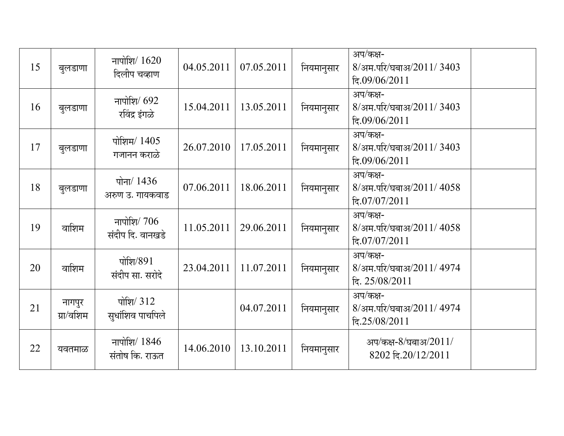| 15 | बुलडाणा             | नापोशि $/1620$<br>दिलीप चव्हाण    | 04.05.2011 | 07.05.2011 | नियमानुसार | अप/कक्ष-<br>8/अम.परि/घबाअ/2011/3403<br>दि.09/06/2011   |  |
|----|---------------------|-----------------------------------|------------|------------|------------|--------------------------------------------------------|--|
| 16 | बुलडाणा             | नापोशि/ 692<br>रविंद्र इंगळे      | 15.04.2011 | 13.05.2011 | नियमानुसार | अप/कक्ष-<br>8/अम.परि/घबाअ/2011/3403<br>दि.09/06/2011   |  |
| 17 | बुलडाणा             | पोशिम/ 1405<br>गजानन कराळे        | 26.07.2010 | 17.05.2011 | नियमानुसार | अप/कक्ष-<br>8/अम.परि/घबाअ/2011/3403<br>दि.09/06/2011   |  |
| 18 | बुलडाणा             | पोना/ 1436<br>अरुण उ. गायकवाड     | 07.06.2011 | 18.06.2011 | नियमानुसार | अप/कक्ष-<br>8/अम.परि/घबाअ/2011/ 4058<br>दि.07/07/2011  |  |
| 19 | वाशिम               | नापोशि $/706$<br>संदीप दि. वानखडे | 11.05.2011 | 29.06.2011 | नियमानुसार | अप/कक्ष-<br>8/अम.परि/घबाअ/2011/4058<br>दि.07/07/2011   |  |
| 20 | वाशिम               | पोशि/891<br>संदीप सा. सरोदे       | 23.04.2011 | 11.07.2011 | नियमानुसार | अप/कक्ष-<br>8/अम.परि/घबाअ/2011/ 4974<br>हि. 25/08/2011 |  |
| 21 | नागपुर<br>ग्रा/वशिम | पोशि/ 312<br>सुधांशिव पाचपिले     |            | 04.07.2011 | नियमानुसार | अप/कक्ष-<br>8/अम.परि/घबाअ/2011/ 4974<br>दि.25/08/2011  |  |
| 22 | यवतमाळ              | नापोशि/ $1846$<br>संतोष कि. राऊत  | 14.06.2010 | 13.10.2011 | नियमानुसार | अप/कक्ष-8/घबाअ/2011/<br>8202 दि.20/12/2011             |  |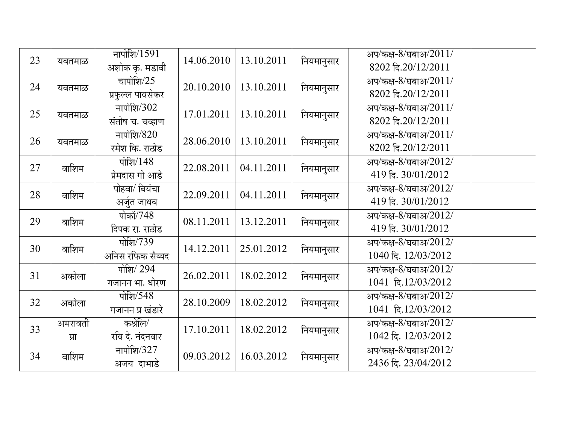| 23 | यवतमाळ          | नापोशि $/1591$<br>अशोक कृ. मडावी | 14.06.2010 | 13.10.2011 | नियमानुसार | अप/कक्ष-8/घबाअ/2011/<br>8202 दि.20/12/2011  |
|----|-----------------|----------------------------------|------------|------------|------------|---------------------------------------------|
| 24 | यवतमाळ          | चापोशि/25<br>प्रफुल्ल पावसेकर    | 20.10.2010 | 13.10.2011 | नियमानुसार | अप/कक्ष-8/घबाअ/2011/<br>8202 दि.20/12/2011  |
| 25 | यवतमाळ          | नापोशि/302<br>संतोष च. चव्हाण    | 17.01.2011 | 13.10.2011 | नियमानुसार | अप/कक्ष-8/घबाअ/2011/<br>8202 दि.20/12/2011  |
| 26 | यवतमाळ          | नापोशि/820<br>रमेश कि. राठोड     | 28.06.2010 | 13.10.2011 | नियमानुसार | अप/कक्ष-8/घबाअ/2011/<br>8202 दि.20/12/2011  |
| 27 | वाशिम           | पोशि $/148$<br>प्रेमदास गो आडे   | 22.08.2011 | 04.11.2011 | नियमानुसार | अप/कक्ष-8/घबाअ/2012/<br>419 दि. 30/01/2012  |
| 28 | वाशिम           | पोहवा/ बियंचा<br>अर्जुत जाधव     | 22.09.2011 | 04.11.2011 | नियमानुसार | अप/कक्ष-8/घबाअ/2012/<br>419 दि. 30/01/2012  |
| 29 | वाशिम           | पोकॉ/748<br>दिपक रा. राठोड       | 08.11.2011 | 13.12.2011 | नियमानुसार | अप/कक्ष-8/घबाअ/2012/<br>419 दि. 30/01/2012  |
| 30 | वाशिम           | पोशि/739<br>अनिस रफिक सैय्यद     | 14.12.2011 | 25.01.2012 | नियमानुसार | अप/कक्ष-8/घबाअ/2012/<br>1040 दि. 12/03/2012 |
| 31 | अकोला           | पोशि/ 294<br>गजानन भा. धोरण      | 26.02.2011 | 18.02.2012 | नियमानुसार | अप/कक्ष-8/घबाअ/2012/<br>1041 दि.12/03/2012  |
| 32 | अकोला           | पोशि $/548$<br>गजानन प्र खंडारे  | 28.10.2009 | 18.02.2012 | नियमानुसार | अप/कक्ष-8/घबाअ/2012/<br>1041 दि.12/03/2012  |
| 33 | अमरावती<br>ग्रा | कश्रेलि/<br>रवि दे. नंदनवार      | 17.10.2011 | 18.02.2012 | नियमानुसार | अप/कक्ष-8/घबाअ/2012/<br>1042 दि. 12/03/2012 |
| 34 | वाशिम           | नापोशि/327<br>अजय दाभाडे         | 09.03.2012 | 16.03.2012 | नियमानुसार | अप/कक्ष-8/घबाअ/2012/<br>2436 दि. 23/04/2012 |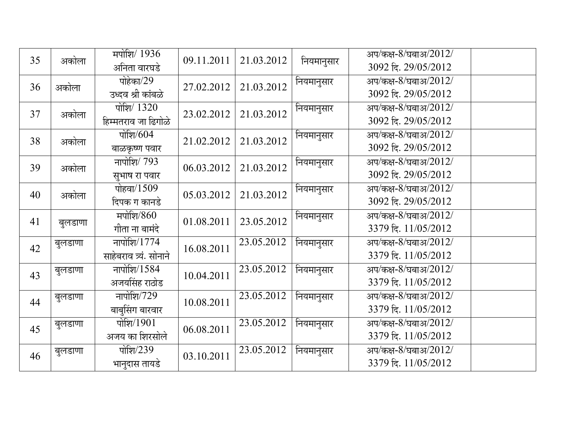| 35 |         | मपोशि/ 1936             |            | 21.03.2012              |            | अप/कक्ष-8/घबाअ/2012/ |
|----|---------|-------------------------|------------|-------------------------|------------|----------------------|
|    | अकोला   | अनिता वारघडे            | 09.11.2011 |                         | नियमानुसार | 3092 दि. 29/05/2012  |
|    |         | पोहेका/29               | 27.02.2012 | 21.03.2012              | नियमानुसार | अप/कक्ष-8/घबाअ/2012/ |
| 36 | अकोला   | उध्दव श्री कांबळे       |            |                         |            | 3092 दि. 29/05/2012  |
| 37 | अकोला   | पोशि/ 1320              | 23.02.2012 | 21.03.2012              | नियमानुसार | अप/कक्ष-8/घबाअ/2012/ |
|    |         | हिम्मतराव जा ढिगोळे     |            |                         |            | 3092 दि. 29/05/2012  |
| 38 | अकोला   | पोशि/604                | 21.02.2012 | 21.03.2012              | नियमानुसार | अप/कक्ष-8/घबाअ/2012/ |
|    |         | बाळकृष्ण पवार           |            |                         |            | 3092 दि. 29/05/2012  |
| 39 | अकोला   | नापोशि $/793$           | 06.03.2012 | 21.03.2012              | नियमानुसार | अप/कक्ष-8/घबाअ/2012/ |
|    |         | सुभाष रा पवार           |            |                         |            | 3092 दि. 29/05/2012  |
| 40 | अकोला   | पोहवा/1509              | 05.03.2012 | 21.03.2012              | नियमानुसार | अप/कक्ष-8/घबाअ/2012/ |
|    |         | दिपक ग कानडे            |            |                         |            | 3092 दि. 29/05/2012  |
| 41 | बुलडाणा | मपोशि/860               | 01.08.2011 | 23.05.2012              | नियमानुसार | अप/कक्ष-8/घबाअ/2012/ |
|    |         | गीता ना बामंदे          |            |                         |            | 3379 दि. 11/05/2012  |
| 42 | बुलडाणा | नापोशि/1774             | 16.08.2011 | 23.05.2012              | नियमानुसार | अप/कक्ष-8/घबाअ/2012/ |
|    |         | साहेबराव त्र्यं. सोनाने |            |                         |            | 3379 दि. 11/05/2012  |
| 43 | बुलडाणा | नापोशि/1584             | 10.04.2011 | 23.05.2012              | नियमानुसार | अप/कक्ष-8/घबाअ/2012/ |
|    |         | अजयसिंह राठोड           |            |                         |            | 3379 दि. 11/05/2012  |
| 44 | बुलडाणा | नापोशि/729              | 10.08.2011 | $23.05.20\overline{12}$ | नियमानुसार | अप/कक्ष-8/घबाअ/2012/ |
|    |         | बाबुसिंग बारवार         |            |                         |            | 3379 दि. 11/05/2012  |
| 45 | बुलडाणा | पोशि/1901               | 06.08.2011 | 23.05.2012              | नियमानुसार | अप/कक्ष-8/घबाअ/2012/ |
|    |         | अजय का शिरसोले          |            |                         |            | 3379 दि. 11/05/2012  |
| 46 | बुलडाणा | पोशि/239                | 03.10.2011 | 23.05.2012              | नियमानुसार | अप/कक्ष-8/घबाअ/2012/ |
|    |         | भानुदास तायडे           |            |                         |            | 3379 दि. 11/05/2012  |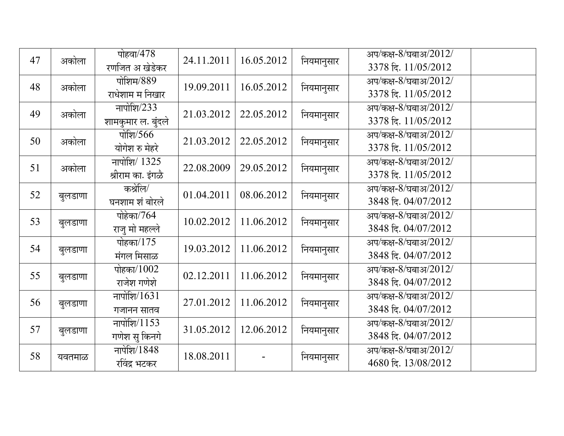| 47 | अकोला   | पोहवा/478<br>रणजित अ खेडेकर               | 24.11.2011 | 16.05.2012 | नियमानुसार | अप/कक्ष-8/घबाअ/2012/<br>3378 दि. 11/05/2012 |
|----|---------|-------------------------------------------|------------|------------|------------|---------------------------------------------|
| 48 | अकोला   | पोशिम/889<br>राधेशाम म निखार              | 19.09.2011 | 16.05.2012 | नियमानुसार | अप/कक्ष-8/घबाअ/2012/<br>3378 दि. 11/05/2012 |
| 49 | अकोला   | नापोशि/233<br>शामकुमार ल. बुंदले          | 21.03.2012 | 22.05.2012 | नियमानुसार | अप/कक्ष-8/घबाअ/2012/<br>3378 दि. 11/05/2012 |
| 50 | अकोला   | पोशि $/566$<br>योगेश रु मेहरे             | 21.03.2012 | 22.05.2012 | नियमानुसार | अप/कक्ष-8/घबाअ/2012/<br>3378 दि. 11/05/2012 |
| 51 | अकोला   | नापोशि $\sqrt{1325}$<br>श्रीराम का. इंगळे | 22.08.2009 | 29.05.2012 | नियमानुसार | अप/कक्ष-8/घबाअ/2012/<br>3378 दि. 11/05/2012 |
| 52 | बुलडाणा | कश्रेलि/<br>घनशाम शं बोरले                | 01.04.2011 | 08.06.2012 | नियमानुसार | अप/कक्ष-8/घबाअ/2012/<br>3848 दि. 04/07/2012 |
| 53 | बुलडाणा | पोहेका/764<br>राजू मो महल्ले              | 10.02.2012 | 11.06.2012 | नियमानुसार | अप/कक्ष-8/घबाअ/2012/<br>3848 दि. 04/07/2012 |
| 54 | बुलडाणा | पोहका/175<br>मंगल मिसाळ                   | 19.03.2012 | 11.06.2012 | नियमानुसार | अप/कक्ष-8/घबाअ/2012/<br>3848 दि. 04/07/2012 |
| 55 | बुलडाणा | पोहका/1002<br>राजेश गणेशे                 | 02.12.2011 | 11.06.2012 | नियमानुसार | अप/कक्ष-8/घबाअ/2012/<br>3848 दि. 04/07/2012 |
| 56 | बुलडाणा | नापोशि/1631<br>गजानन सातव                 | 27.01.2012 | 11.06.2012 | नियमानुसार | अप/कक्ष-8/घबाअ/2012/<br>3848 दि. 04/07/2012 |
| 57 | बुलडाणा | नापोशि/1153<br>गणेश सु किनगे              | 31.05.2012 | 12.06.2012 | नियमानुसार | अप/कक्ष-8/घबाअ/2012/<br>3848 दि. 04/07/2012 |
| 58 | यवतमाळ  | नापेशि/1848<br>रविंद्र भटकर               | 18.08.2011 |            | नियमानुसार | अप/कक्ष-8/घबाअ/2012/<br>4680 दि. 13/08/2012 |